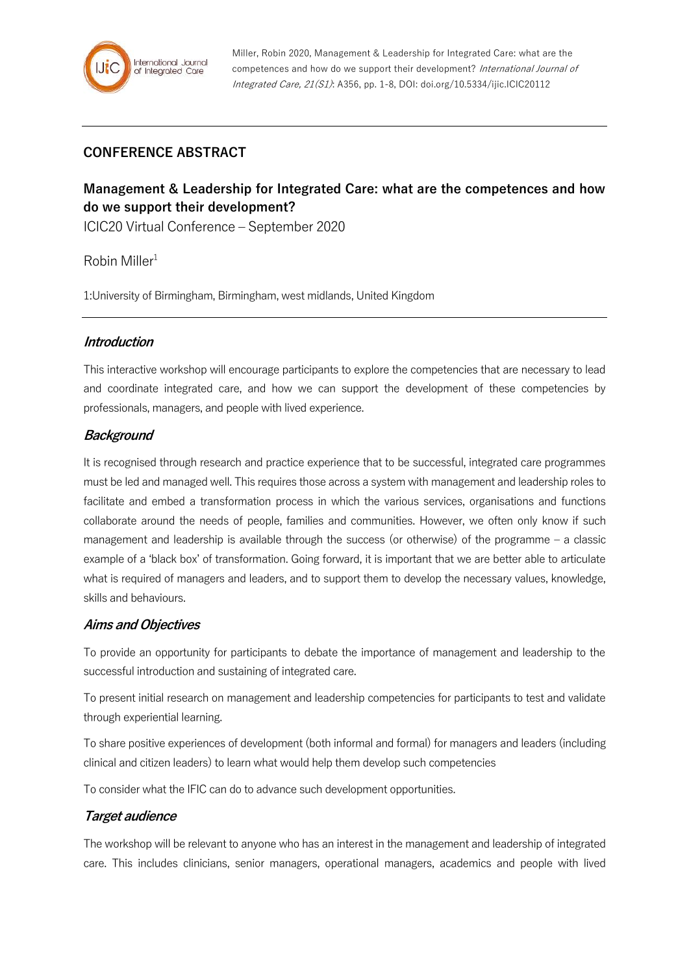# **CONFERENCE ABSTRACT**

# **Management & Leadership for Integrated Care: what are the competences and how do we support their development?**

ICIC20 Virtual Conference – September 2020

 $R$ obin Miller<sup>1</sup>

1:University of Birmingham, Birmingham, west midlands, United Kingdom

### **Introduction**

This interactive workshop will encourage participants to explore the competencies that are necessary to lead and coordinate integrated care, and how we can support the development of these competencies by professionals, managers, and people with lived experience.

### **Background**

It is recognised through research and practice experience that to be successful, integrated care programmes must be led and managed well. This requires those across a system with management and leadership roles to facilitate and embed a transformation process in which the various services, organisations and functions collaborate around the needs of people, families and communities. However, we often only know if such management and leadership is available through the success (or otherwise) of the programme – a classic example of a 'black box' of transformation. Going forward, it is important that we are better able to articulate what is required of managers and leaders, and to support them to develop the necessary values, knowledge, skills and behaviours.

#### **Aims and Objectives**

To provide an opportunity for participants to debate the importance of management and leadership to the successful introduction and sustaining of integrated care.

To present initial research on management and leadership competencies for participants to test and validate through experiential learning.

To share positive experiences of development (both informal and formal) for managers and leaders (including clinical and citizen leaders) to learn what would help them develop such competencies

To consider what the IFIC can do to advance such development opportunities.

#### **Target audience**

The workshop will be relevant to anyone who has an interest in the management and leadership of integrated care. This includes clinicians, senior managers, operational managers, academics and people with lived